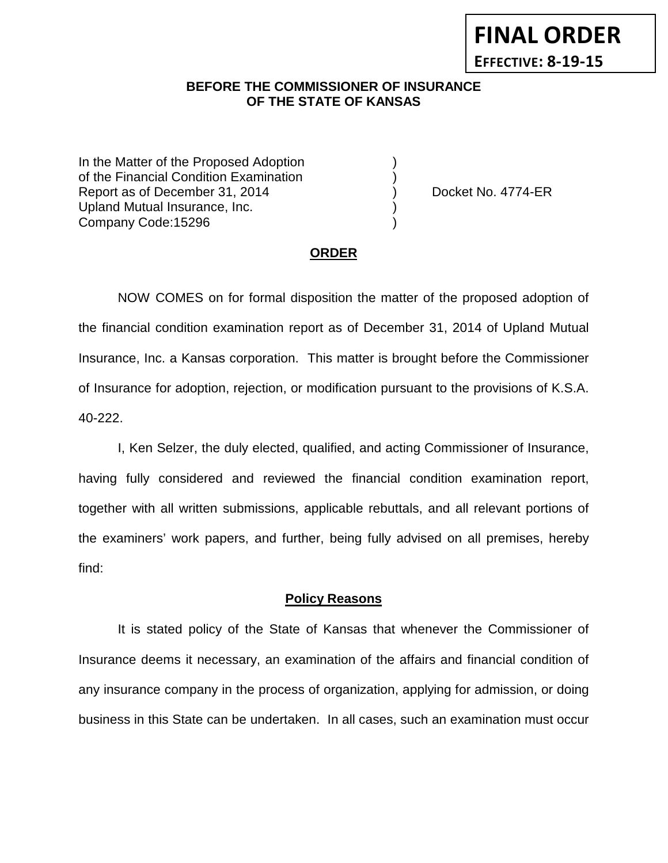### **BEFORE THE COMMISSIONER OF INSURANCE OF THE STATE OF KANSAS**

In the Matter of the Proposed Adoption of the Financial Condition Examination ) Report as of December 31, 2014 (a) (b) Docket No. 4774-ER Upland Mutual Insurance, Inc. ) Company Code:15296 )

**FINAL ORDER**

**EFFECTIVE: 8-19-15**

#### **ORDER**

NOW COMES on for formal disposition the matter of the proposed adoption of the financial condition examination report as of December 31, 2014 of Upland Mutual Insurance, Inc. a Kansas corporation. This matter is brought before the Commissioner of Insurance for adoption, rejection, or modification pursuant to the provisions of K.S.A. 40-222.

I, Ken Selzer, the duly elected, qualified, and acting Commissioner of Insurance, having fully considered and reviewed the financial condition examination report, together with all written submissions, applicable rebuttals, and all relevant portions of the examiners' work papers, and further, being fully advised on all premises, hereby find:

#### **Policy Reasons**

It is stated policy of the State of Kansas that whenever the Commissioner of Insurance deems it necessary, an examination of the affairs and financial condition of any insurance company in the process of organization, applying for admission, or doing business in this State can be undertaken. In all cases, such an examination must occur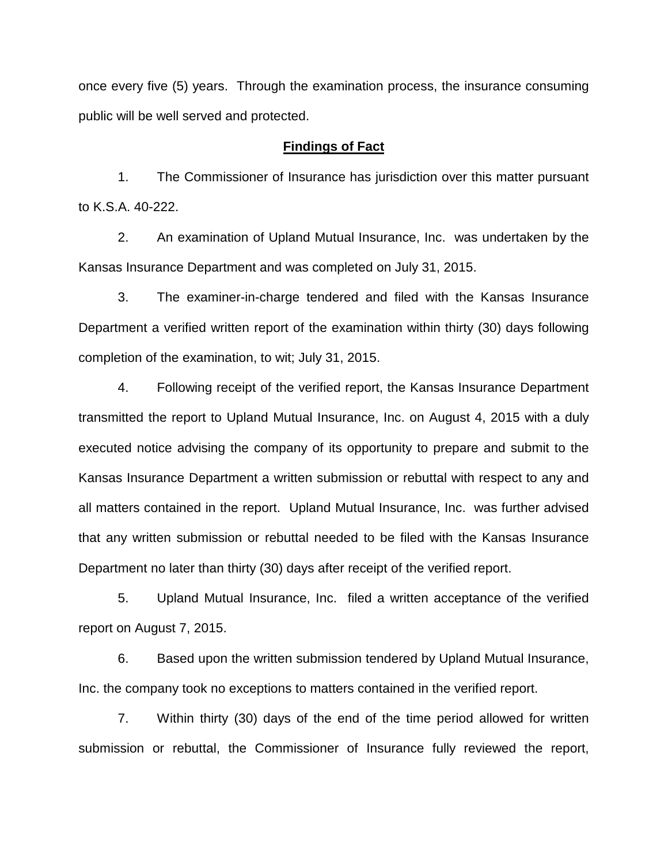once every five (5) years. Through the examination process, the insurance consuming public will be well served and protected.

#### **Findings of Fact**

1. The Commissioner of Insurance has jurisdiction over this matter pursuant to K.S.A. 40-222.

2. An examination of Upland Mutual Insurance, Inc. was undertaken by the Kansas Insurance Department and was completed on July 31, 2015.

3. The examiner-in-charge tendered and filed with the Kansas Insurance Department a verified written report of the examination within thirty (30) days following completion of the examination, to wit; July 31, 2015.

4. Following receipt of the verified report, the Kansas Insurance Department transmitted the report to Upland Mutual Insurance, Inc. on August 4, 2015 with a duly executed notice advising the company of its opportunity to prepare and submit to the Kansas Insurance Department a written submission or rebuttal with respect to any and all matters contained in the report. Upland Mutual Insurance, Inc. was further advised that any written submission or rebuttal needed to be filed with the Kansas Insurance Department no later than thirty (30) days after receipt of the verified report.

5. Upland Mutual Insurance, Inc. filed a written acceptance of the verified report on August 7, 2015.

6. Based upon the written submission tendered by Upland Mutual Insurance, Inc. the company took no exceptions to matters contained in the verified report.

7. Within thirty (30) days of the end of the time period allowed for written submission or rebuttal, the Commissioner of Insurance fully reviewed the report,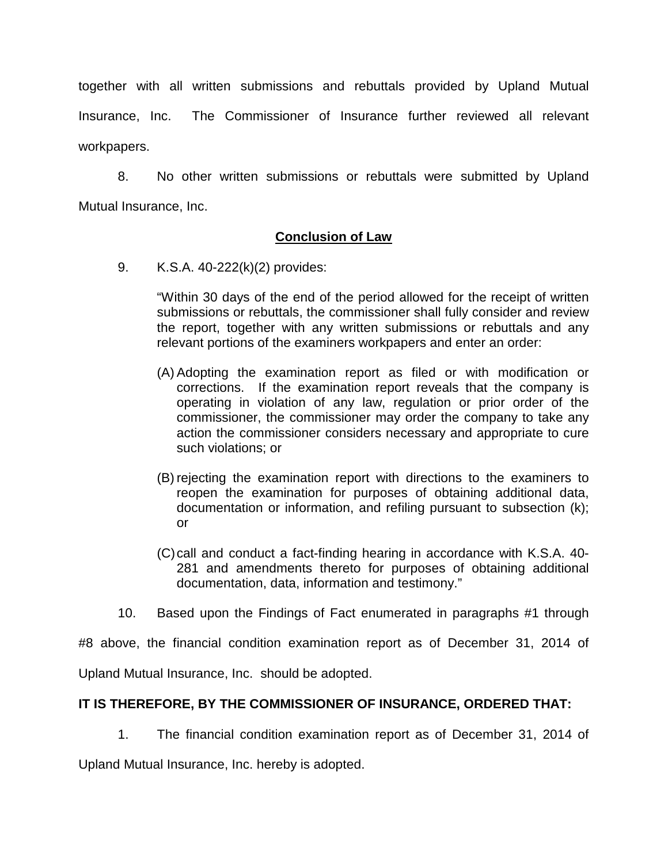together with all written submissions and rebuttals provided by Upland Mutual Insurance, Inc. The Commissioner of Insurance further reviewed all relevant workpapers.

8. No other written submissions or rebuttals were submitted by Upland Mutual Insurance, Inc.

# **Conclusion of Law**

9. K.S.A. 40-222(k)(2) provides:

"Within 30 days of the end of the period allowed for the receipt of written submissions or rebuttals, the commissioner shall fully consider and review the report, together with any written submissions or rebuttals and any relevant portions of the examiners workpapers and enter an order:

- (A) Adopting the examination report as filed or with modification or corrections. If the examination report reveals that the company is operating in violation of any law, regulation or prior order of the commissioner, the commissioner may order the company to take any action the commissioner considers necessary and appropriate to cure such violations; or
- (B) rejecting the examination report with directions to the examiners to reopen the examination for purposes of obtaining additional data, documentation or information, and refiling pursuant to subsection (k); or
- (C)call and conduct a fact-finding hearing in accordance with K.S.A. 40- 281 and amendments thereto for purposes of obtaining additional documentation, data, information and testimony."
- 10. Based upon the Findings of Fact enumerated in paragraphs #1 through

#8 above, the financial condition examination report as of December 31, 2014 of Upland Mutual Insurance, Inc. should be adopted.

# **IT IS THEREFORE, BY THE COMMISSIONER OF INSURANCE, ORDERED THAT:**

1. The financial condition examination report as of December 31, 2014 of

Upland Mutual Insurance, Inc. hereby is adopted.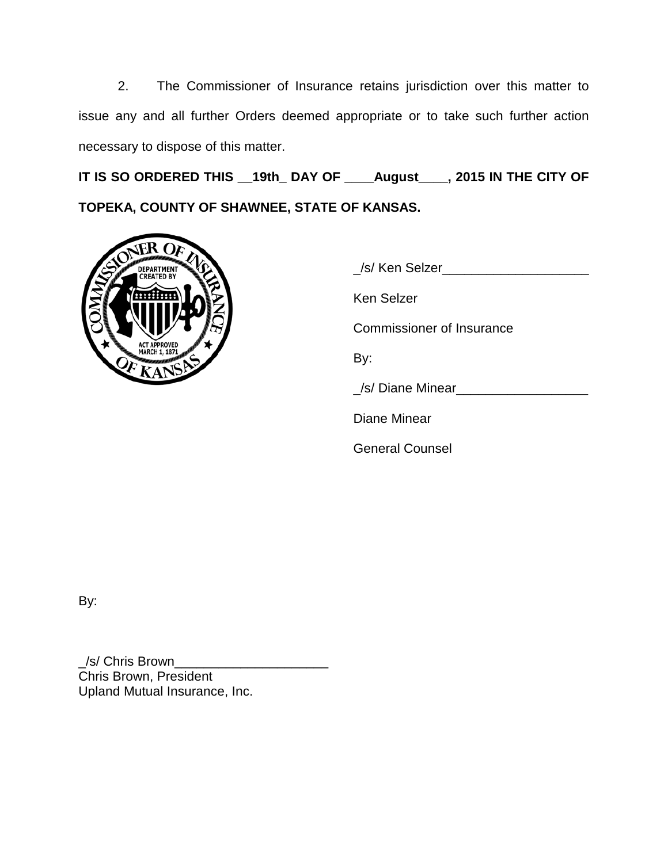2. The Commissioner of Insurance retains jurisdiction over this matter to issue any and all further Orders deemed appropriate or to take such further action necessary to dispose of this matter.

**IT IS SO ORDERED THIS \_\_19th\_ DAY OF \_\_\_\_August\_\_\_\_, 2015 IN THE CITY OF TOPEKA, COUNTY OF SHAWNEE, STATE OF KANSAS.**



| /s/ Ken Selzer            |
|---------------------------|
| Ken Selzer                |
| Commissioner of Insurance |
| By:                       |
| /s/ Diane Minear__        |
| Diane Minear              |
| <b>General Counsel</b>    |

By:

\_/s/ Chris Brown\_\_\_\_\_\_\_\_\_\_\_\_\_\_\_\_\_\_\_\_\_ Chris Brown, President Upland Mutual Insurance, Inc.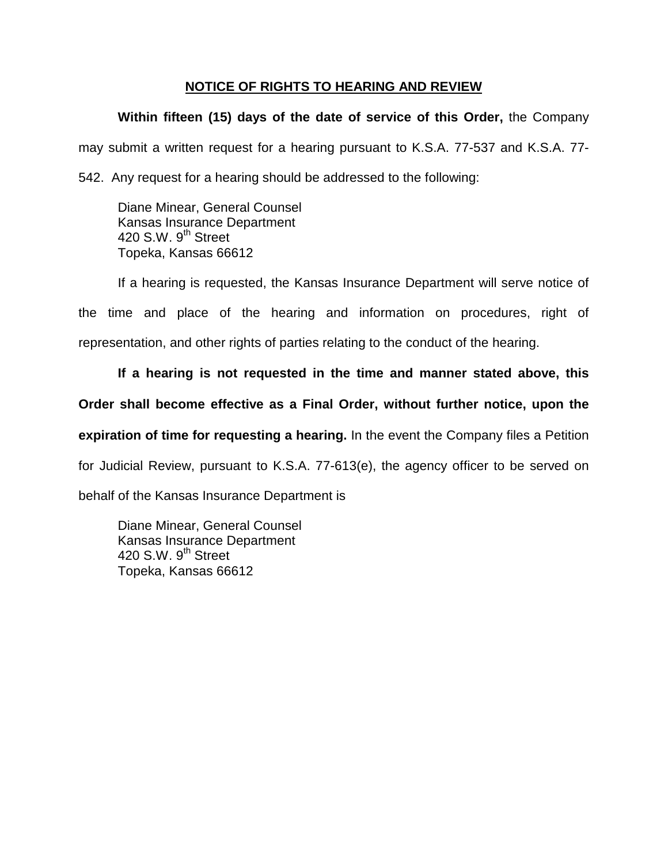### **NOTICE OF RIGHTS TO HEARING AND REVIEW**

# **Within fifteen (15) days of the date of service of this Order,** the Company

may submit a written request for a hearing pursuant to K.S.A. 77-537 and K.S.A. 77-

542. Any request for a hearing should be addressed to the following:

Diane Minear, General Counsel Kansas Insurance Department 420 S.W. 9<sup>th</sup> Street Topeka, Kansas 66612

If a hearing is requested, the Kansas Insurance Department will serve notice of the time and place of the hearing and information on procedures, right of representation, and other rights of parties relating to the conduct of the hearing.

**If a hearing is not requested in the time and manner stated above, this Order shall become effective as a Final Order, without further notice, upon the expiration of time for requesting a hearing.** In the event the Company files a Petition for Judicial Review, pursuant to K.S.A. 77-613(e), the agency officer to be served on behalf of the Kansas Insurance Department is

Diane Minear, General Counsel Kansas Insurance Department 420 S.W.  $9<sup>th</sup>$  Street Topeka, Kansas 66612